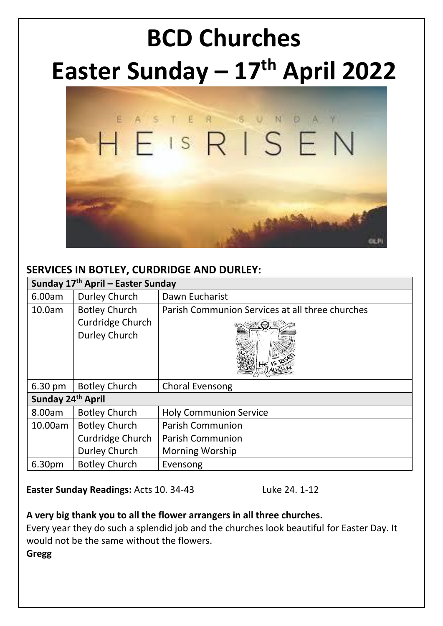# **BCD Churches Easter Sunday – 17th April 2022**



#### **SERVICES IN BOTLEY, CURDRIDGE AND DURLEY:**

| Sunday 17 <sup>th</sup> April – Easter Sunday |                      |                                                 |  |  |  |  |
|-----------------------------------------------|----------------------|-------------------------------------------------|--|--|--|--|
| 6.00am                                        | Durley Church        | Dawn Eucharist                                  |  |  |  |  |
| 10.0am                                        | <b>Botley Church</b> | Parish Communion Services at all three churches |  |  |  |  |
|                                               | Curdridge Church     |                                                 |  |  |  |  |
|                                               | <b>Durley Church</b> |                                                 |  |  |  |  |
| $6.30 \text{ pm}$                             | <b>Botley Church</b> | <b>Choral Evensong</b>                          |  |  |  |  |
| Sunday 24 <sup>th</sup> April                 |                      |                                                 |  |  |  |  |
| 8.00am                                        | <b>Botley Church</b> | <b>Holy Communion Service</b>                   |  |  |  |  |
| 10.00am                                       | <b>Botley Church</b> | <b>Parish Communion</b>                         |  |  |  |  |
|                                               | Curdridge Church     | <b>Parish Communion</b>                         |  |  |  |  |
|                                               | Durley Church        | <b>Morning Worship</b>                          |  |  |  |  |
| 6.30pm                                        | <b>Botley Church</b> | Evensong                                        |  |  |  |  |

**Easter Sunday Readings:** Acts 10. 34-43 Luke 24. 1-12

#### **A very big thank you to all the flower arrangers in all three churches.**

Every year they do such a splendid job and the churches look beautiful for Easter Day. It would not be the same without the flowers.

**Gregg**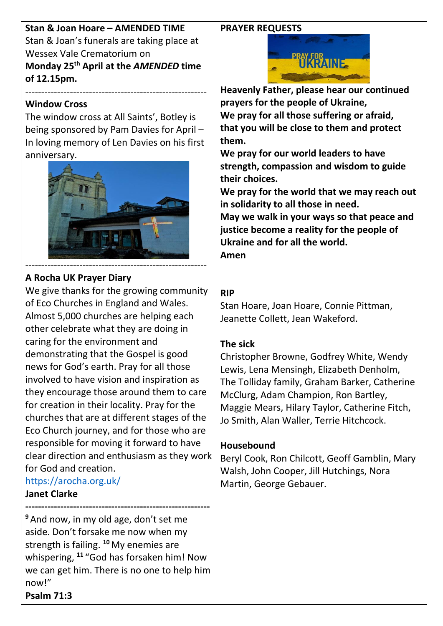#### **PRAYER REQUESTS**

**Stan & Joan Hoare – AMENDED TIME** Stan & Joan's funerals are taking place at Wessex Vale Crematorium on **Monday 25th April at the** *AMENDED* **time of 12.15pm.**

#### **Window Cross**

The window cross at All Saints', Botley is being sponsored by Pam Davies for April – In loving memory of Len Davies on his first anniversary.

---------------------------------------------------------



### **A Rocha UK Prayer Diary**

We give thanks for the growing community of Eco Churches in England and Wales. Almost 5,000 churches are helping each other celebrate what they are doing in caring for the environment and demonstrating that the Gospel is good news for God's earth. Pray for all those involved to have vision and inspiration as they encourage those around them to care for creation in their locality. Pray for the churches that are at different stages of the Eco Church journey, and for those who are responsible for moving it forward to have clear direction and enthusiasm as they work for God and creation. <https://arocha.org.uk/>

**Janet Clarke**

**---------------------------------------------------------- <sup>9</sup>** And now, in my old age, don't set me aside. Don't forsake me now when my strength is failing. **<sup>10</sup>**My enemies are whispering, **<sup>11</sup>** "God has forsaken him! Now we can get him. There is no one to help him now!" **Psalm 71:3**



**Heavenly Father, please hear our continued prayers for the people of Ukraine, We pray for all those suffering or afraid, that you will be close to them and protect them.**

**We pray for our world leaders to have strength, compassion and wisdom to guide their choices.**

**We pray for the world that we may reach out in solidarity to all those in need.**

**May we walk in your ways so that peace and justice become a reality for the people of Ukraine and for all the world.**

**Amen**

### **RIP**

Stan Hoare, Joan Hoare, Connie Pittman, Jeanette Collett, Jean Wakeford.

#### **The sick**

Christopher Browne, Godfrey White, Wendy Lewis, Lena Mensingh, Elizabeth Denholm, The Tolliday family, Graham Barker, Catherine McClurg, Adam Champion, Ron Bartley, Maggie Mears, Hilary Taylor, Catherine Fitch, Jo Smith, Alan Waller, Terrie Hitchcock.

#### **Housebound**

Beryl Cook, Ron Chilcott, Geoff Gamblin, Mary Walsh, John Cooper, Jill Hutchings, Nora Martin, George Gebauer.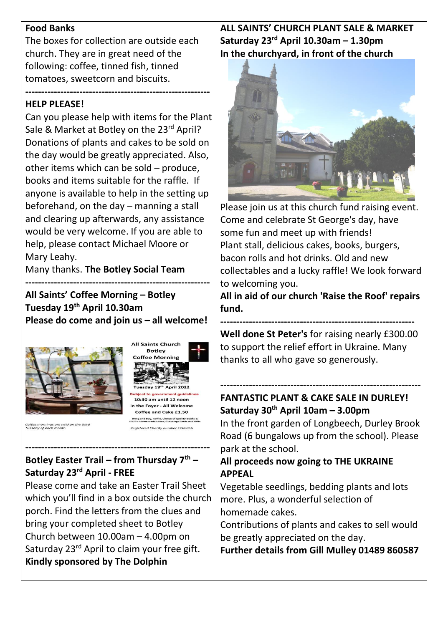#### **Food Banks**

The boxes for collection are outside each church. They are in great need of the following: coffee, tinned fish, tinned tomatoes, sweetcorn and biscuits.

#### **---------------------------------------------------------- HELP PLEASE!**

Can you please help with items for the Plant Sale & Market at Botley on the 23<sup>rd</sup> April? Donations of plants and cakes to be sold on the day would be greatly appreciated. Also, other items which can be sold – produce, books and items suitable for the raffle. If anyone is available to help in the setting up beforehand, on the day – manning a stall and clearing up afterwards, any assistance would be very welcome. If you are able to help, please contact Michael Moore or Mary Leahy.

Many thanks. **The Botley Social Team**

**---------------------------------------------------------- All Saints' Coffee Morning – Botley Tuesday 19th April 10.30am Please do come and join us – all welcome!**

> **All Saints Church Botley Coffee Morning**

10:30 am until 12 noon In the Fover - All Welcome Coffee and Cake £1.50 Bring and Buy, Raffle, Choice of quality Books &<br>WD's. Homemade cakes, Greetings Cards and Gift



# **---------------------------------------------------------- Botley Easter Trail – from Thursday 7th – Saturday 23rd April - FREE**

Please come and take an Easter Trail Sheet which you'll find in a box outside the church porch. Find the letters from the clues and bring your completed sheet to Botley Church between 10.00am – 4.00pm on Saturday 23<sup>rd</sup> April to claim your free gift. **Kindly sponsored by The Dolphin**

# **ALL SAINTS' CHURCH PLANT SALE & MARKET Saturday 23rd April 10.30am – 1.30pm In the churchyard, in front of the church**



Please join us at this church fund raising event. Come and celebrate St George's day, have some fun and meet up with friends! Plant stall, delicious cakes, books, burgers, bacon rolls and hot drinks. Old and new collectables and a lucky raffle! We look forward to welcoming you.

**All in aid of our church 'Raise the Roof' repairs fund.**

**------------------------------------------------------------- Well done St Peter's** for raising nearly £300.00 to support the relief effort in Ukraine. Many thanks to all who gave so generously.

---------------------------------------------------------------

# **FANTASTIC PLANT & CAKE SALE IN DURLEY! Saturday 30th April 10am – 3.00pm**

In the front garden of Longbeech, Durley Brook Road (6 bungalows up from the school). Please park at the school.

### **All proceeds now going to THE UKRAINE APPEAL**

Vegetable seedlings, bedding plants and lots more. Plus, a wonderful selection of homemade cakes.

Contributions of plants and cakes to sell would be greatly appreciated on the day.

**Further details from Gill Mulley 01489 860587**